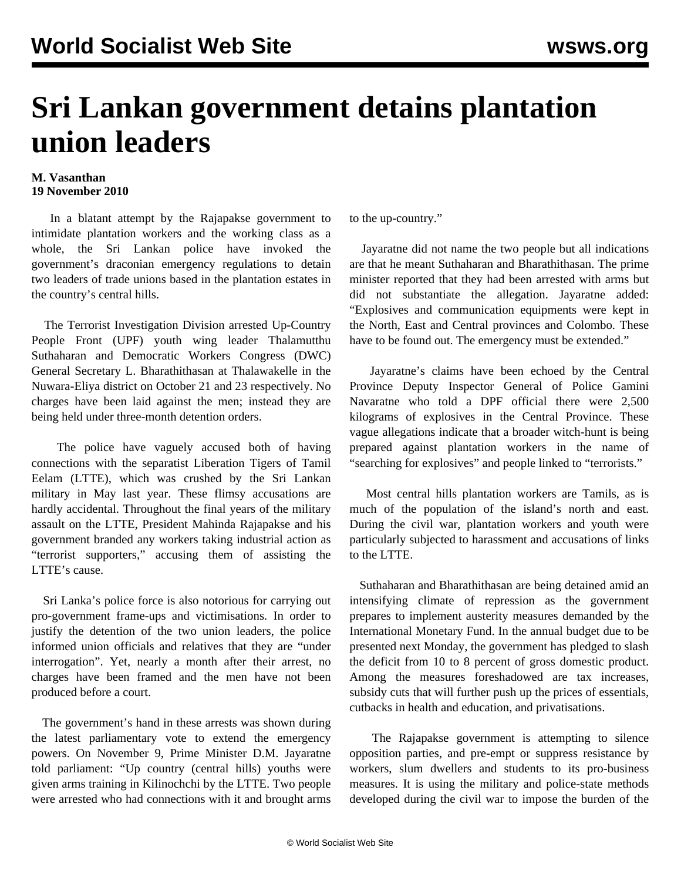## **Sri Lankan government detains plantation union leaders**

## **M. Vasanthan 19 November 2010**

 In a blatant attempt by the Rajapakse government to intimidate plantation workers and the working class as a whole, the Sri Lankan police have invoked the government's draconian emergency regulations to detain two leaders of trade unions based in the plantation estates in the country's central hills.

 The Terrorist Investigation Division arrested Up-Country People Front (UPF) youth wing leader Thalamutthu Suthaharan and Democratic Workers Congress (DWC) General Secretary L. Bharathithasan at Thalawakelle in the Nuwara-Eliya district on October 21 and 23 respectively. No charges have been laid against the men; instead they are being held under three-month detention orders.

 The police have vaguely accused both of having connections with the separatist Liberation Tigers of Tamil Eelam (LTTE), which was crushed by the Sri Lankan military in May last year. These flimsy accusations are hardly accidental. Throughout the final years of the military assault on the LTTE, President Mahinda Rajapakse and his government branded any workers taking industrial action as "terrorist supporters," accusing them of assisting the LTTE's cause.

 Sri Lanka's police force is also notorious for carrying out pro-government frame-ups and victimisations. In order to justify the detention of the two union leaders, the police informed union officials and relatives that they are "under interrogation". Yet, nearly a month after their arrest, no charges have been framed and the men have not been produced before a court.

 The government's hand in these arrests was shown during the latest parliamentary vote to extend the emergency powers. On November 9, Prime Minister D.M. Jayaratne told parliament: "Up country (central hills) youths were given arms training in Kilinochchi by the LTTE. Two people were arrested who had connections with it and brought arms to the up-country."

 Jayaratne did not name the two people but all indications are that he meant Suthaharan and Bharathithasan. The prime minister reported that they had been arrested with arms but did not substantiate the allegation. Jayaratne added: "Explosives and communication equipments were kept in the North, East and Central provinces and Colombo. These have to be found out. The emergency must be extended."

 Jayaratne's claims have been echoed by the Central Province Deputy Inspector General of Police Gamini Navaratne who told a DPF official there were 2,500 kilograms of explosives in the Central Province. These vague allegations indicate that a broader witch-hunt is being prepared against plantation workers in the name of "searching for explosives" and people linked to "terrorists."

 Most central hills plantation workers are Tamils, as is much of the population of the island's north and east. During the civil war, plantation workers and youth were particularly subjected to harassment and accusations of links to the LTTE.

 Suthaharan and Bharathithasan are being detained amid an intensifying climate of repression as the government prepares to implement austerity measures demanded by the International Monetary Fund. In the annual budget due to be presented next Monday, the government has pledged to slash the deficit from 10 to 8 percent of gross domestic product. Among the measures foreshadowed are tax increases, subsidy cuts that will further push up the prices of essentials, cutbacks in health and education, and privatisations.

 The Rajapakse government is attempting to silence opposition parties, and pre-empt or suppress resistance by workers, slum dwellers and students to its pro-business measures. It is using the military and police-state methods developed during the civil war to impose the burden of the